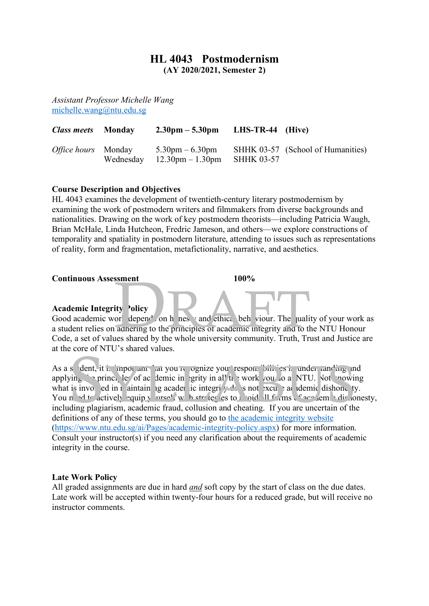## **HL 4043 Postmodernism**

**(AY 2020/2021, Semester 2)**

*Assistant Professor Michelle Wang* michelle.wang@ntu.edu.sg

| <i>Class meets</i> Monday  | $2.30 \text{pm} - 5.30 \text{pm}$                                                            | LHS-TR-44 (Hive) |                                   |
|----------------------------|----------------------------------------------------------------------------------------------|------------------|-----------------------------------|
| <i>Office hours</i> Monday | $5.30 \text{pm} - 6.30 \text{pm}$<br>Wednesday $12.30 \text{pm} - 1.30 \text{pm}$ SHHK 03-57 |                  | SHHK 03-57 (School of Humanities) |

#### **Course Description and Objectives**

HL 4043 examines the development of twentieth-century literary postmodernism by examining the work of postmodern writers and filmmakers from diverse backgrounds and nationalities. Drawing on the work of key postmodern theorists—including Patricia Waugh, Brian McHale, Linda Hutcheon, Fredric Jameson, and others—we explore constructions of temporality and spatiality in postmodern literature, attending to issues such as representations of reality, form and fragmentation, metafictionality, narrative, and aesthetics.

#### **Continuous Assessment 100%**

### **Academic Integrity Policy**

Good academic work depend on h nest v and ethical behaviour. The quality of your work as a student relies on adhering to the principles of academic integrity and to the NTU Honour Code, a set of values shared by the whole university community. Truth, Trust and Justice are at the core of NTU's shared values. Soment<br>
ity<br>
blicy<br>
orl depend on h nes v and ethical beh viour. The juality of<br>
adnering to the principles of academic integrity and to the N<br>
less shared by the whole university community. Truth Trust a

As a student, it is important that you is ognize your responsibilities in under tanding and applying the principles of academic integrity in all the work you do at NTU. Not knowing what is involved in maintaining academic integrity does not excuse a demic dishone ty. You need to actively equip yourself with strategies to avoid all  $f_{\text{max}}$  cacademic dishonesty, including plagiarism, academic fraud, collusion and cheating. If you are uncertain of the definitions of any of these terms, you should go to the academic integrity website (https://www.ntu.edu.sg/ai/Pages/academic-integrity-policy.aspx) for more information. Consult your instructor(s) if you need any clarification about the requirements of academic integrity in the course. Solution Article is shared varies.<br>
Solution Article in an activity in all the work you to a NTU. Not now it is involved in a initiain in a caden ic integrity of short xcu and denic dishond the state of actively equiply u

#### **Late Work Policy**

All graded assignments are due in hard *and* soft copy by the start of class on the due dates. Late work will be accepted within twenty-four hours for a reduced grade, but will receive no instructor comments.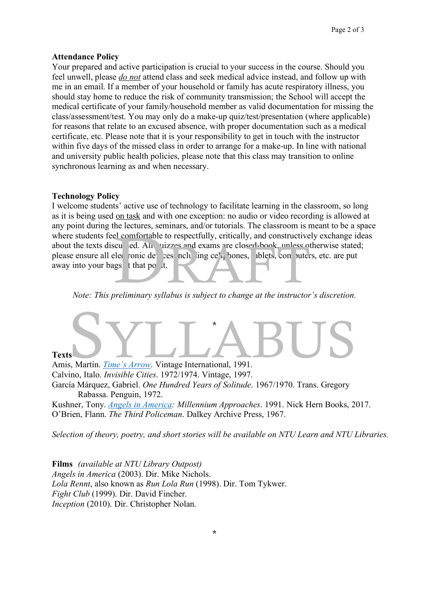#### **Attendance Policy**

Your prepared and active participation is crucial to your success in the course. Should you feel unwell, please *do not* attend class and seek medical advice instead, and follow up with me in an email. If a member of your household or family has acute respiratory illness, you should stay home to reduce the risk of community transmission; the School will accept the medical certificate of your family/household member as valid documentation for missing the class/assessment/test. You may only do a make-up quiz/test/presentation (where applicable) for reasons that relate to an excused absence, with proper documentation such as a medical certificate, etc. Please note that it is your responsibility to get in touch with the instructor within five days of the missed class in order to arrange for a make-up. In line with national and university public health policies, please note that this class may transition to online synchronous learning as and when necessary.

#### **Technology Policy**

I welcome students' active use of technology to facilitate learning in the classroom, so long as it is being used on task and with one exception: no audio or video recording is allowed at any point during the lectures, seminars, and/or tutorials. The classroom is meant to be a space where students feel comfortable to respectfully, critically, and constructively exchange ideas about the texts discussed. All quizzes and exams are closed-book, unless otherwise stated; please ensure all electronic devices including cell hones, ablets, computers, etc. are put away into your bags  $\frac{1}{2}$  that point. el comfortable to respectfully, critically, and constructively e<br>cu ed. Ali uizzes and exams are closed-book, unless other<br>lec conic de ces not ling ce<sup>n</sup> i pones, iblets, con uters, et<br>gs t that po the continuum cullabus

*Note: This preliminary syllabus is subject to change at the instructor's discretion.*

# **\* Texts** Amis, Martin. *Time's Arrow*. Vintage International, 1991. S<br>
S, Martin. Time's Arrow. Vintage International, 1991.

Calvino, Italo. *Invisible Cities*. 1972/1974. Vintage, 1997. García Márquez, Gabriel. *One Hundred Years of Solitude*. 1967/1970. Trans. Gregory Rabassa. Penguin, 1972. Kushner, Tony. *Angels in America: Millennium Approaches*. 1991. Nick Hern Books, 2017.

O'Brien, Flann. *The Third Policeman*. Dalkey Archive Press, 1967.

*Selection of theory, poetry, and short stories will be available on NTU Learn and NTU Libraries.*

**Films** *(available at NTU Library Outpost) Angels in America* (2003). Dir. Mike Nichols. *Lola Rennt*, also known as *Run Lola Run* (1998). Dir. Tom Tykwer. *Fight Club* (1999). Dir. David Fincher. *Inception* (2010). Dir. Christopher Nolan.